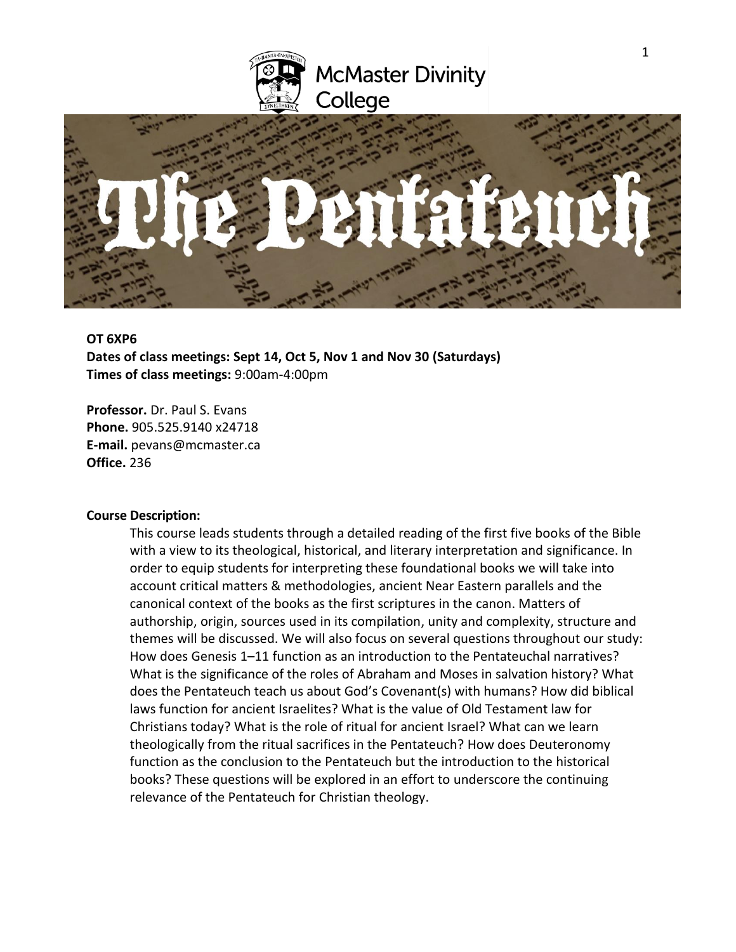



## **OT 6XP6**

**Dates of class meetings: Sept 14, Oct 5, Nov 1 and Nov 30 (Saturdays) Times of class meetings:** 9:00am-4:00pm

**Professor.** Dr. Paul S. Evans **Phone.** 905.525.9140 x24718 **E-mail.** pevans@mcmaster.ca **Office.** 236

### **Course Description:**

This course leads students through a detailed reading of the first five books of the Bible with a view to its theological, historical, and literary interpretation and significance. In order to equip students for interpreting these foundational books we will take into account critical matters & methodologies, ancient Near Eastern parallels and the canonical context of the books as the first scriptures in the canon. Matters of authorship, origin, sources used in its compilation, unity and complexity, structure and themes will be discussed. We will also focus on several questions throughout our study: How does Genesis 1–11 function as an introduction to the Pentateuchal narratives? What is the significance of the roles of Abraham and Moses in salvation history? What does the Pentateuch teach us about God's Covenant(s) with humans? How did biblical laws function for ancient Israelites? What is the value of Old Testament law for Christians today? What is the role of ritual for ancient Israel? What can we learn theologically from the ritual sacrifices in the Pentateuch? How does Deuteronomy function as the conclusion to the Pentateuch but the introduction to the historical books? These questions will be explored in an effort to underscore the continuing relevance of the Pentateuch for Christian theology.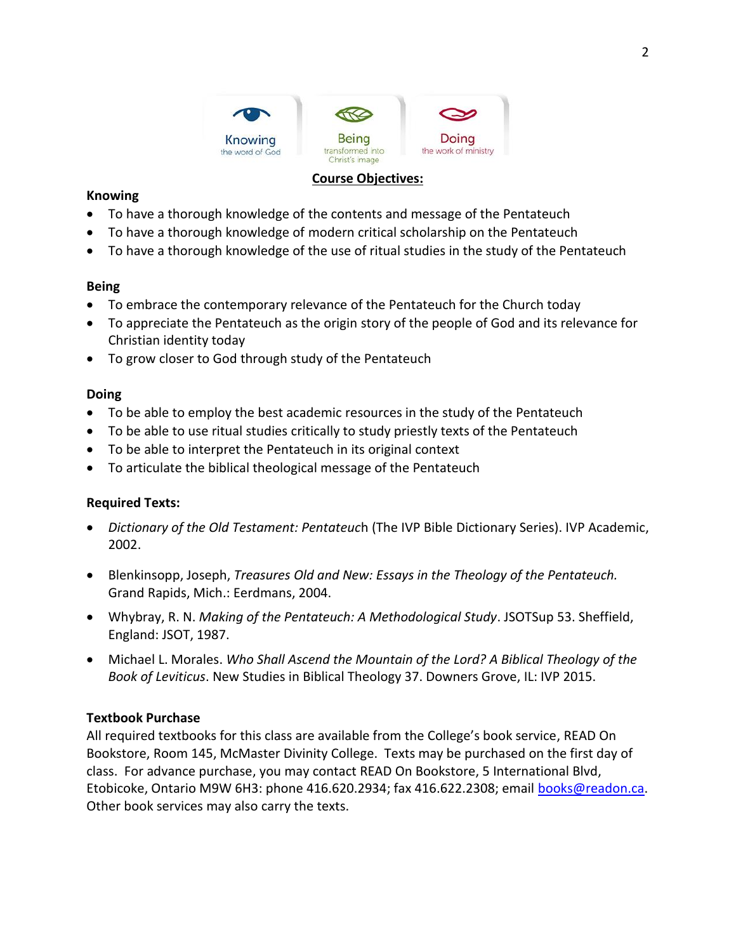

# **Course Objectives:**

## **Knowing**

- To have a thorough knowledge of the contents and message of the Pentateuch
- To have a thorough knowledge of modern critical scholarship on the Pentateuch
- To have a thorough knowledge of the use of ritual studies in the study of the Pentateuch

# **Being**

- To embrace the contemporary relevance of the Pentateuch for the Church today
- To appreciate the Pentateuch as the origin story of the people of God and its relevance for Christian identity today
- To grow closer to God through study of the Pentateuch

# **Doing**

- To be able to employ the best academic resources in the study of the Pentateuch
- To be able to use ritual studies critically to study priestly texts of the Pentateuch
- To be able to interpret the Pentateuch in its original context
- To articulate the biblical theological message of the Pentateuch

# **Required Texts:**

- *Dictionary of the Old Testament: Pentateuc*h (The IVP Bible Dictionary Series). IVP Academic, 2002.
- Blenkinsopp, Joseph, *Treasures Old and New: Essays in the Theology of the Pentateuch.* Grand Rapids, Mich.: Eerdmans, 2004.
- Whybray, R. N. *Making of the Pentateuch: A Methodological Study*. JSOTSup 53. Sheffield, England: JSOT, 1987.
- Michael L. Morales. *Who Shall Ascend the Mountain of the Lord? A Biblical Theology of the Book of Leviticus*. New Studies in Biblical Theology 37. Downers Grove, IL: IVP 2015.

# **Textbook Purchase**

All required textbooks for this class are available from the College's book service, READ On Bookstore, Room 145, McMaster Divinity College. Texts may be purchased on the first day of class. For advance purchase, you may contact READ On Bookstore, 5 International Blvd, Etobicoke, Ontario M9W 6H3: phone 416.620.2934; fax 416.622.2308; email [books@readon.ca.](mailto:books@readon.ca) Other book services may also carry the texts.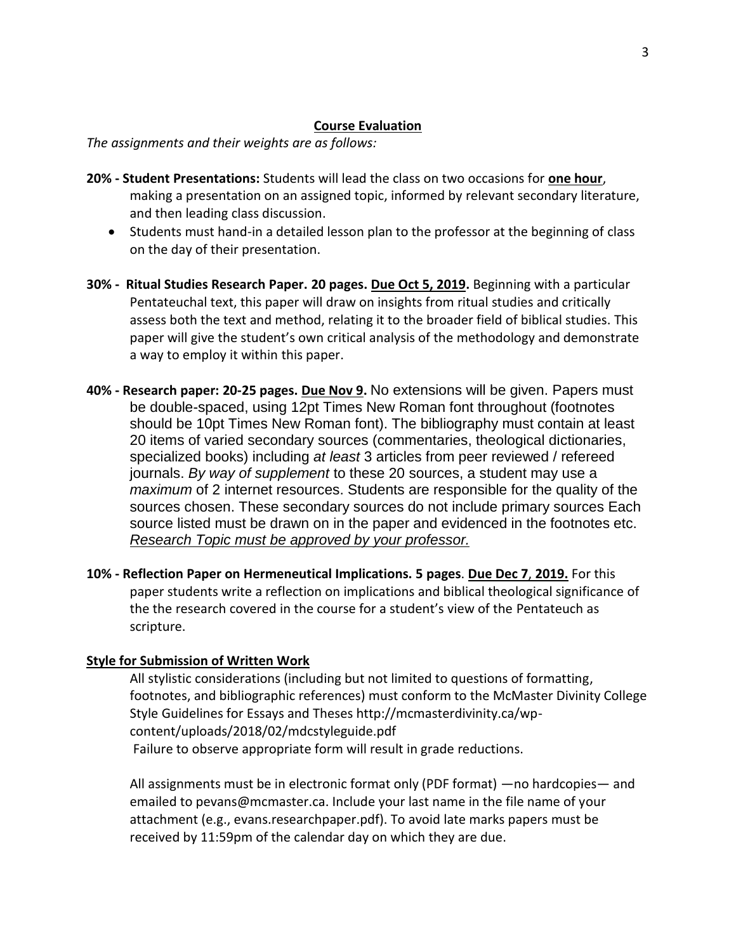### **Course Evaluation**

*The assignments and their weights are as follows:*

- **20% - Student Presentations:** Students will lead the class on two occasions for **one hour**, making a presentation on an assigned topic, informed by relevant secondary literature, and then leading class discussion.
	- Students must hand-in a detailed lesson plan to the professor at the beginning of class on the day of their presentation.
- **30% - Ritual Studies Research Paper. 20 pages. Due Oct 5, 2019.** Beginning with a particular Pentateuchal text, this paper will draw on insights from ritual studies and critically assess both the text and method, relating it to the broader field of biblical studies. This paper will give the student's own critical analysis of the methodology and demonstrate a way to employ it within this paper.
- **40% - Research paper: 20-25 pages. Due Nov 9.** No extensions will be given. Papers must be double-spaced, using 12pt Times New Roman font throughout (footnotes should be 10pt Times New Roman font). The bibliography must contain at least 20 items of varied secondary sources (commentaries, theological dictionaries, specialized books) including *at least* 3 articles from peer reviewed / refereed journals. *By way of supplement* to these 20 sources, a student may use a *maximum* of 2 internet resources. Students are responsible for the quality of the sources chosen. These secondary sources do not include primary sources Each source listed must be drawn on in the paper and evidenced in the footnotes etc. *Research Topic must be approved by your professor.*
- **10% - Reflection Paper on Hermeneutical Implications. 5 pages**. **Due Dec 7**, **2019.** For this paper students write a reflection on implications and biblical theological significance of the the research covered in the course for a student's view of the Pentateuch as scripture.

# **Style for Submission of Written Work**

All stylistic considerations (including but not limited to questions of formatting, footnotes, and bibliographic references) must conform to the McMaster Divinity College Style Guidelines for Essays and Theses http://mcmasterdivinity.ca/wpcontent/uploads/2018/02/mdcstyleguide.pdf Failure to observe appropriate form will result in grade reductions.

All assignments must be in electronic format only (PDF format) —no hardcopies— and emailed to pevans@mcmaster.ca. Include your last name in the file name of your attachment (e.g., evans.researchpaper.pdf). To avoid late marks papers must be received by 11:59pm of the calendar day on which they are due.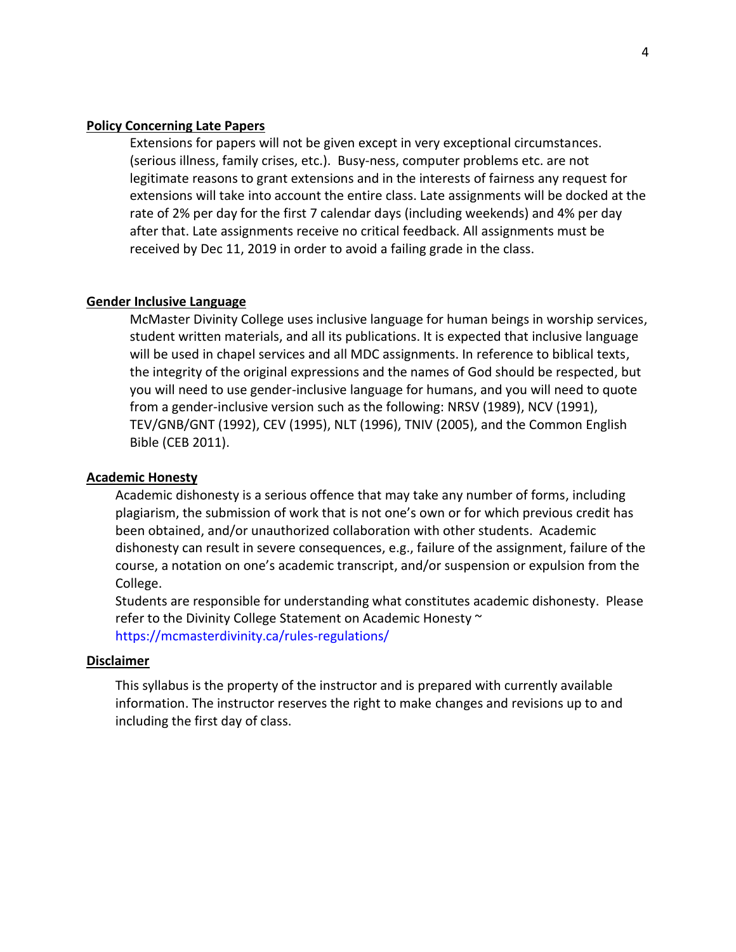### **Policy Concerning Late Papers**

Extensions for papers will not be given except in very exceptional circumstances. (serious illness, family crises, etc.). Busy-ness, computer problems etc. are not legitimate reasons to grant extensions and in the interests of fairness any request for extensions will take into account the entire class. Late assignments will be docked at the rate of 2% per day for the first 7 calendar days (including weekends) and 4% per day after that. Late assignments receive no critical feedback. All assignments must be received by Dec 11, 2019 in order to avoid a failing grade in the class.

#### **Gender Inclusive Language**

McMaster Divinity College uses inclusive language for human beings in worship services, student written materials, and all its publications. It is expected that inclusive language will be used in chapel services and all MDC assignments. In reference to biblical texts, the integrity of the original expressions and the names of God should be respected, but you will need to use gender-inclusive language for humans, and you will need to quote from a gender-inclusive version such as the following: NRSV (1989), NCV (1991), TEV/GNB/GNT (1992), CEV (1995), NLT (1996), TNIV (2005), and the Common English Bible (CEB 2011).

#### **Academic Honesty**

Academic dishonesty is a serious offence that may take any number of forms, including plagiarism, the submission of work that is not one's own or for which previous credit has been obtained, and/or unauthorized collaboration with other students. Academic dishonesty can result in severe consequences, e.g., failure of the assignment, failure of the course, a notation on one's academic transcript, and/or suspension or expulsion from the College.

Students are responsible for understanding what constitutes academic dishonesty. Please refer to the Divinity College Statement on Academic Honesty ~ <https://mcmasterdivinity.ca/rules-regulations/>

## **Disclaimer**

This syllabus is the property of the instructor and is prepared with currently available information. The instructor reserves the right to make changes and revisions up to and including the first day of class.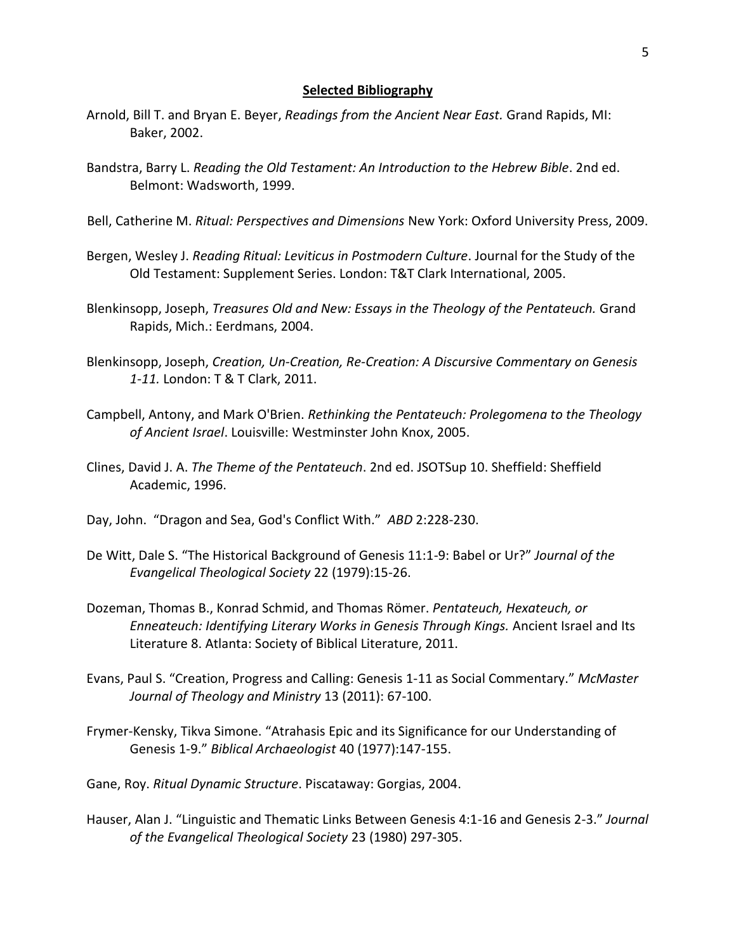#### **Selected Bibliography**

- Arnold, Bill T. and Bryan E. Beyer, *Readings from the Ancient Near East.* Grand Rapids, MI: Baker, 2002.
- Bandstra, Barry L. *Reading the Old Testament: An Introduction to the Hebrew Bible*. 2nd ed. Belmont: Wadsworth, 1999.
- Bell, Catherine M. *Ritual: Perspectives and Dimensions* New York: Oxford University Press, 2009.
- Bergen, Wesley J. *Reading Ritual: Leviticus in Postmodern Culture*. Journal for the Study of the Old Testament: Supplement Series. London: T&T Clark International, 2005.
- Blenkinsopp, Joseph, *Treasures Old and New: Essays in the Theology of the Pentateuch.* Grand Rapids, Mich.: Eerdmans, 2004.
- Blenkinsopp, Joseph, *Creation, Un-Creation, Re-Creation: A Discursive Commentary on Genesis 1-11.* London: T & T Clark, 2011.
- Campbell, Antony, and Mark O'Brien. *Rethinking the Pentateuch: Prolegomena to the Theology of Ancient Israel*. Louisville: Westminster John Knox, 2005.
- Clines, David J. A. *The Theme of the Pentateuch*. 2nd ed. JSOTSup 10. Sheffield: Sheffield Academic, 1996.
- Day, John. "Dragon and Sea, God's Conflict With." *ABD* 2:228-230.
- De Witt, Dale S. "The Historical Background of Genesis 11:1-9: Babel or Ur?" *Journal of the Evangelical Theological Society* 22 (1979):15-26.
- Dozeman, Thomas B., Konrad Schmid, and Thomas Römer. *Pentateuch, Hexateuch, or Enneateuch: Identifying Literary Works in Genesis Through Kings.* Ancient Israel and Its Literature 8. Atlanta: Society of Biblical Literature, 2011.
- Evans, Paul S. "Creation, Progress and Calling: Genesis 1-11 as Social Commentary." *McMaster Journal of Theology and Ministry* 13 (2011): 67-100.
- Frymer-Kensky, Tikva Simone. "Atrahasis Epic and its Significance for our Understanding of Genesis 1-9." *Biblical Archaeologist* 40 (1977):147-155.
- Gane, Roy. *Ritual Dynamic Structure*. Piscataway: Gorgias, 2004.
- Hauser, Alan J. "Linguistic and Thematic Links Between Genesis 4:1-16 and Genesis 2-3." *Journal of the Evangelical Theological Society* 23 (1980) 297-305.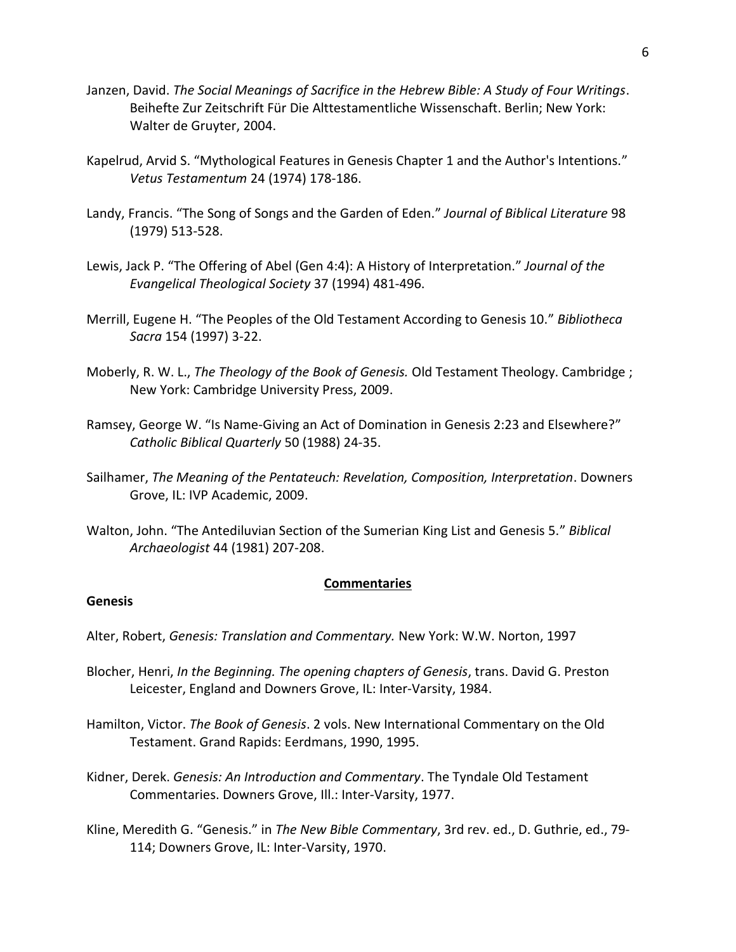- Janzen, David. *The Social Meanings of Sacrifice in the Hebrew Bible: A Study of Four Writings*. Beihefte Zur Zeitschrift Für Die Alttestamentliche Wissenschaft. Berlin; New York: Walter de Gruyter, 2004.
- Kapelrud, Arvid S. "Mythological Features in Genesis Chapter 1 and the Author's Intentions." *Vetus Testamentum* 24 (1974) 178-186.
- Landy, Francis. "The Song of Songs and the Garden of Eden." *Journal of Biblical Literature* 98 (1979) 513-528.
- Lewis, Jack P. "The Offering of Abel (Gen 4:4): A History of Interpretation." *Journal of the Evangelical Theological Society* 37 (1994) 481-496.
- Merrill, Eugene H. "The Peoples of the Old Testament According to Genesis 10." *Bibliotheca Sacra* 154 (1997) 3-22.
- Moberly, R. W. L., *The Theology of the Book of Genesis.* Old Testament Theology. Cambridge ; New York: Cambridge University Press, 2009.
- Ramsey, George W. "Is Name-Giving an Act of Domination in Genesis 2:23 and Elsewhere?" *Catholic Biblical Quarterly* 50 (1988) 24-35.
- Sailhamer, *The Meaning of the Pentateuch: Revelation, Composition, Interpretation*. Downers Grove, IL: IVP Academic, 2009.
- Walton, John. "The Antediluvian Section of the Sumerian King List and Genesis 5." *Biblical Archaeologist* 44 (1981) 207-208.

### **Commentaries**

### **Genesis**

Alter, Robert, *Genesis: Translation and Commentary.* New York: W.W. Norton, 1997

- Blocher, Henri, *In the Beginning. The opening chapters of Genesis*, trans. David G. Preston Leicester, England and Downers Grove, IL: Inter-Varsity, 1984.
- Hamilton, Victor. *The Book of Genesis*. 2 vols. New International Commentary on the Old Testament. Grand Rapids: Eerdmans, 1990, 1995.
- Kidner, Derek. *Genesis: An Introduction and Commentary*. The Tyndale Old Testament Commentaries. Downers Grove, Ill.: Inter-Varsity, 1977.
- Kline, Meredith G. "Genesis." in *The New Bible Commentary*, 3rd rev. ed., D. Guthrie, ed., 79- 114; Downers Grove, IL: Inter-Varsity, 1970.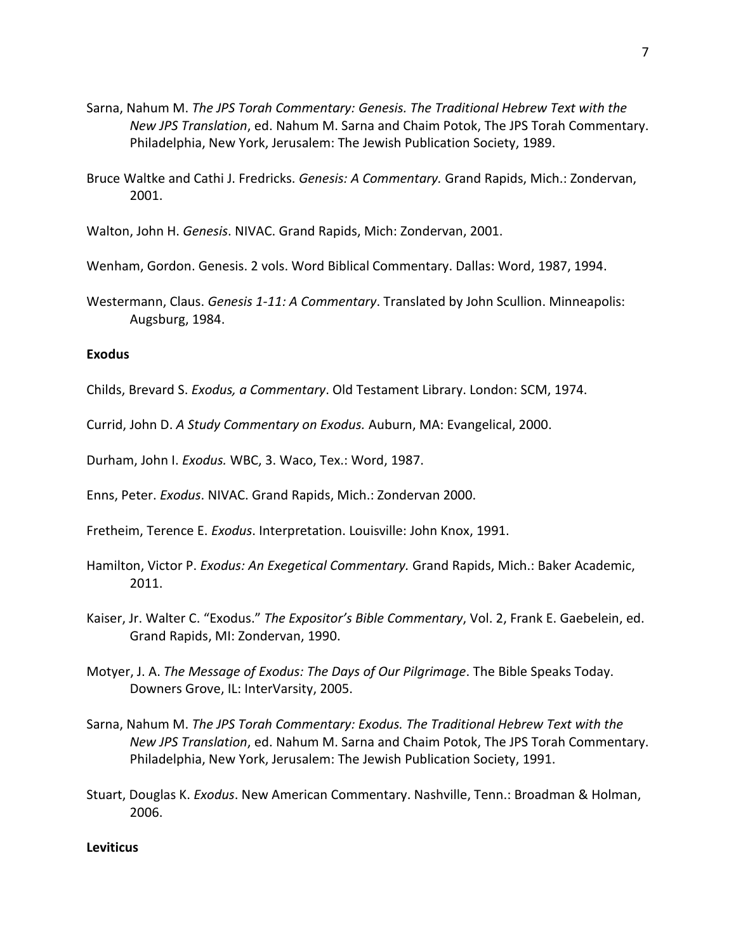- Sarna, Nahum M. *The JPS Torah Commentary: Genesis. The Traditional Hebrew Text with the New JPS Translation*, ed. Nahum M. Sarna and Chaim Potok, The JPS Torah Commentary. Philadelphia, New York, Jerusalem: The Jewish Publication Society, 1989.
- Bruce Waltke and Cathi J. Fredricks. *Genesis: A Commentary.* Grand Rapids, Mich.: Zondervan, 2001.

Walton, John H. *Genesis*. NIVAC. Grand Rapids, Mich: Zondervan, 2001.

Wenham, Gordon. Genesis. 2 vols. Word Biblical Commentary. Dallas: Word, 1987, 1994.

Westermann, Claus. *Genesis 1-11: A Commentary*. Translated by John Scullion. Minneapolis: Augsburg, 1984.

### **Exodus**

Childs, Brevard S. *Exodus, a Commentary*. Old Testament Library. London: SCM, 1974.

Currid, John D. *A Study Commentary on Exodus.* Auburn, MA: Evangelical, 2000.

Durham, John I. *Exodus.* WBC, 3. Waco, Tex.: Word, 1987.

Enns, Peter. *Exodus*. NIVAC. Grand Rapids, Mich.: Zondervan 2000.

Fretheim, Terence E. *Exodus*. Interpretation. Louisville: John Knox, 1991.

- Hamilton, Victor P. *Exodus: An Exegetical Commentary.* Grand Rapids, Mich.: Baker Academic, 2011.
- Kaiser, Jr. Walter C. "Exodus." *The Expositor's Bible Commentary*, Vol. 2, Frank E. Gaebelein, ed. Grand Rapids, MI: Zondervan, 1990.
- Motyer, J. A. *The Message of Exodus: The Days of Our Pilgrimage*. The Bible Speaks Today. Downers Grove, IL: InterVarsity, 2005.
- Sarna, Nahum M. *The JPS Torah Commentary: Exodus. The Traditional Hebrew Text with the New JPS Translation*, ed. Nahum M. Sarna and Chaim Potok, The JPS Torah Commentary. Philadelphia, New York, Jerusalem: The Jewish Publication Society, 1991.
- Stuart, Douglas K. *Exodus*. New American Commentary. Nashville, Tenn.: Broadman & Holman, 2006.

**Leviticus**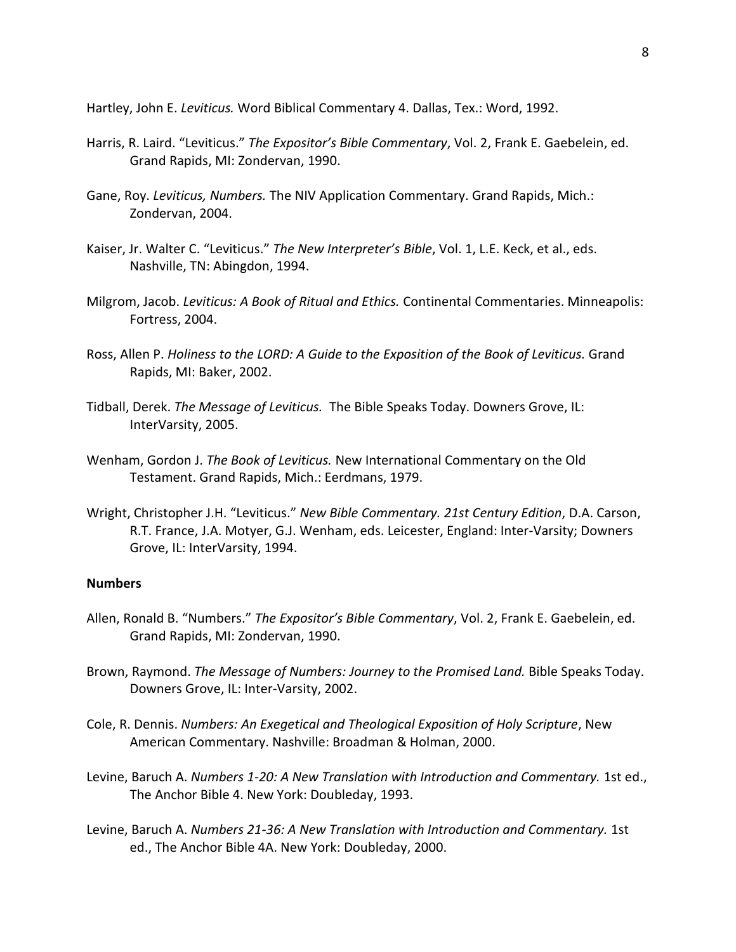Hartley, John E. *Leviticus.* Word Biblical Commentary 4. Dallas, Tex.: Word, 1992.

- Harris, R. Laird. "Leviticus." *The Expositor's Bible Commentary*, Vol. 2, Frank E. Gaebelein, ed. Grand Rapids, MI: Zondervan, 1990.
- Gane, Roy. *Leviticus, Numbers.* The NIV Application Commentary. Grand Rapids, Mich.: Zondervan, 2004.
- Kaiser, Jr. Walter C. "Leviticus." *The New Interpreter's Bible*, Vol. 1, L.E. Keck, et al., eds. Nashville, TN: Abingdon, 1994.
- Milgrom, Jacob. *Leviticus: A Book of Ritual and Ethics.* Continental Commentaries. Minneapolis: Fortress, 2004.
- Ross, Allen P. *Holiness to the LORD: A Guide to the Exposition of the Book of Leviticus.* Grand Rapids, MI: Baker, 2002.
- Tidball, Derek. *The Message of Leviticus.* The Bible Speaks Today. Downers Grove, IL: InterVarsity, 2005.
- Wenham, Gordon J. *The Book of Leviticus.* New International Commentary on the Old Testament. Grand Rapids, Mich.: Eerdmans, 1979.
- Wright, Christopher J.H. "Leviticus." *New Bible Commentary. 21st Century Edition*, D.A. Carson, R.T. France, J.A. Motyer, G.J. Wenham, eds. Leicester, England: Inter-Varsity; Downers Grove, IL: InterVarsity, 1994.

## **Numbers**

- Allen, Ronald B. "Numbers." *The Expositor's Bible Commentary*, Vol. 2, Frank E. Gaebelein, ed. Grand Rapids, MI: Zondervan, 1990.
- Brown, Raymond. *The Message of Numbers: Journey to the Promised Land.* Bible Speaks Today. Downers Grove, IL: Inter-Varsity, 2002.
- Cole, R. Dennis. *Numbers: An Exegetical and Theological Exposition of Holy Scripture*, New American Commentary. Nashville: Broadman & Holman, 2000.
- Levine, Baruch A. *Numbers 1-20: A New Translation with Introduction and Commentary.* 1st ed., The Anchor Bible 4. New York: Doubleday, 1993.
- Levine, Baruch A. *Numbers 21-36: A New Translation with Introduction and Commentary.* 1st ed., The Anchor Bible 4A. New York: Doubleday, 2000.